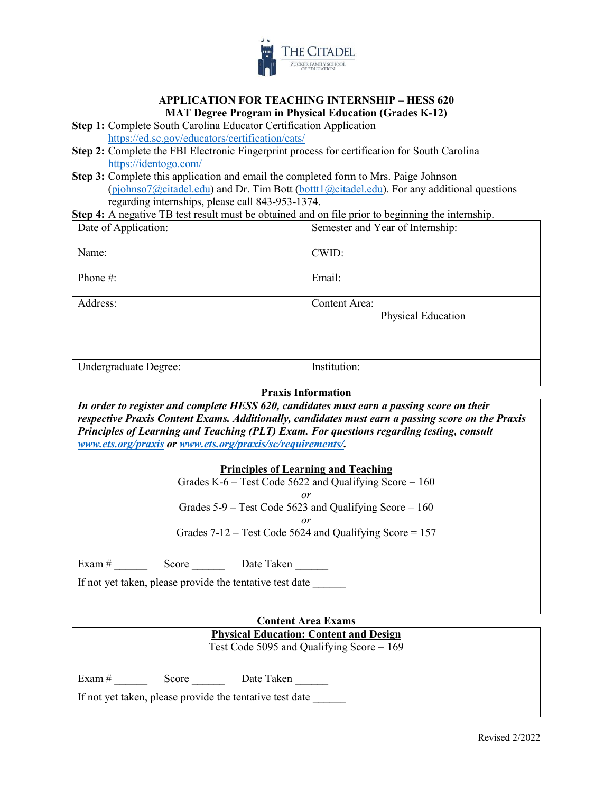

#### **APPLICATION FOR TEACHING INTERNSHIP – HESS 620 MAT Degree Program in Physical Education (Grades K-12)**

**Step 1:** Complete South Carolina Educator Certification Application <https://ed.sc.gov/educators/certification/cats/>

- **Step 2:** Complete the FBI Electronic Fingerprint process for certification for South Carolina <https://identogo.com/>
- **Step 3:** Complete this application and email the completed form to Mrs. Paige Johnson  $(piphnso7@citated.edu)$  and Dr. Tim Bott  $(bott1@citated.edu)$ . For any additional questions regarding internships, please call 843-953-1374.

**Step 4:** A negative TB test result must be obtained and on file prior to beginning the internship.

| Date of Application:  | Semester and Year of Internship:    |
|-----------------------|-------------------------------------|
| Name:                 | CWID:                               |
| Phone #:              | Email:                              |
| Address:              | Content Area:<br>Physical Education |
| Undergraduate Degree: | Institution:                        |

# **Praxis Information**

*In order to register and complete HESS 620, candidates must earn a passing score on their respective Praxis Content Exams. Additionally, candidates must earn a passing score on the Praxis Principles of Learning and Teaching (PLT) Exam. For questions regarding testing, consult [www.ets.org/praxis](http://www.ets.org/praxis) or [www.ets.org/praxis/sc/requirements/.](http://www.ets.org/praxis/sc/requirements/)* 

#### **Principles of Learning and Teaching**

Grades K-6 – Test Code 5622 and Qualifying Score =  $160$ *or*  Grades  $5-9$  – Test Code  $5623$  and Qualifying Score = 160 *or*  Grades  $7-12$  – Test Code 5624 and Qualifying Score = 157

Exam  $\#$  Score \_\_\_\_\_\_ Date Taken \_\_\_\_\_\_

If not yet taken, please provide the tentative test date

# **Content Area Exams Physical Education: Content and Design**  Test Code 5095 and Qualifying Score = 169

Exam #  $\qquad \qquad$  Score  $\qquad \qquad$  Date Taken

If not yet taken, please provide the tentative test date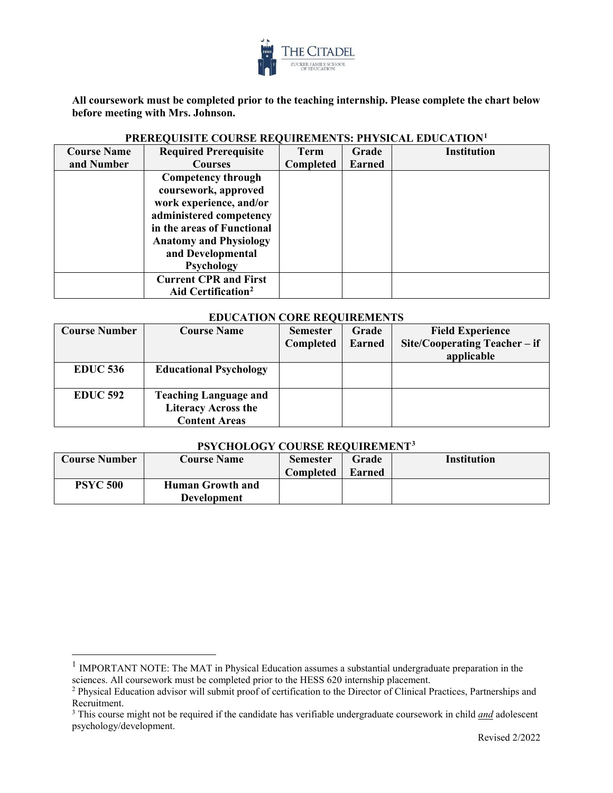

**All coursework must be completed prior to the teaching internship. Please complete the chart below before meeting with Mrs. Johnson.** 

| <b>Course Name</b> | <b>Required Prerequisite</b>                                          | <b>Term</b> | Grade         | <b>Institution</b> |
|--------------------|-----------------------------------------------------------------------|-------------|---------------|--------------------|
| and Number         | <b>Courses</b>                                                        | Completed   | <b>Earned</b> |                    |
|                    | Competency through<br>coursework, approved<br>work experience, and/or |             |               |                    |
|                    | administered competency                                               |             |               |                    |
|                    | in the areas of Functional<br><b>Anatomy and Physiology</b>           |             |               |                    |
|                    | and Developmental<br><b>Psychology</b>                                |             |               |                    |
|                    | <b>Current CPR and First</b><br>Aid Certification <sup>2</sup>        |             |               |                    |

## **PREREQUISITE COURSE REQUIREMENTS: PHYSICAL EDUCATION[1](#page-1-0)**

#### **EDUCATION CORE REQUIREMENTS**

| <b>Course Number</b> | <b>Course Name</b>                                                                 | <b>Semester</b><br>Completed | Grade<br><b>Earned</b> | <b>Field Experience</b><br>Site/Cooperating Teacher – if<br>applicable |
|----------------------|------------------------------------------------------------------------------------|------------------------------|------------------------|------------------------------------------------------------------------|
| <b>EDUC 536</b>      | <b>Educational Psychology</b>                                                      |                              |                        |                                                                        |
| <b>EDUC 592</b>      | <b>Teaching Language and</b><br><b>Literacy Across the</b><br><b>Content Areas</b> |                              |                        |                                                                        |

## **PSYCHOLOGY COURSE REQUIREMEN[T3](#page-1-2)**

| <b>Course Number</b> | <b>Course Name</b>                            | <b>Semester</b><br><b>Completed</b> | Grade<br><b>Earned</b> | <b>Institution</b> |
|----------------------|-----------------------------------------------|-------------------------------------|------------------------|--------------------|
| <b>PSYC 500</b>      | <b>Human Growth and</b><br><b>Development</b> |                                     |                        |                    |

 $\overline{a}$ 

<span id="page-1-0"></span><sup>&</sup>lt;sup>1</sup> IMPORTANT NOTE: The MAT in Physical Education assumes a substantial undergraduate preparation in the sciences. All coursework must be completed prior to the HESS 620 internship placement.

<span id="page-1-1"></span><sup>&</sup>lt;sup>2</sup> Physical Education advisor will submit proof of certification to the Director of Clinical Practices, Partnerships and Recruitment.

<span id="page-1-2"></span><sup>3</sup> This course might not be required if the candidate has verifiable undergraduate coursework in child *and* adolescent psychology/development.